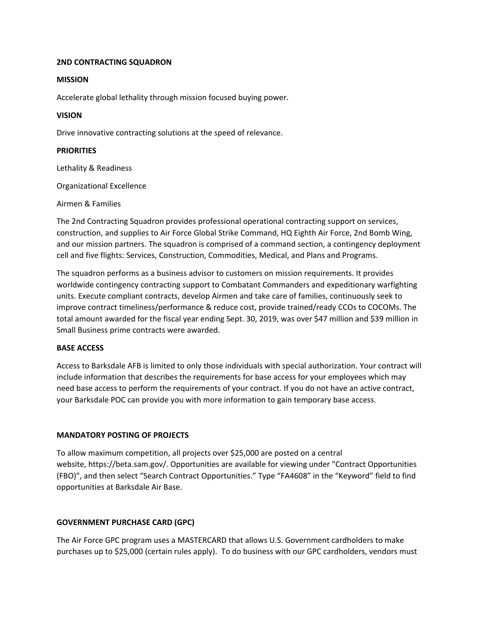### **2ND CONTRACTING SQUADRON**

#### **MISSION**

Accelerate global lethality through mission focused buying power.

## **VISION**

Drive innovative contracting solutions at the speed of relevance.

# **PRIORITIES**

Lethality & Readiness

Organizational Excellence

Airmen & Families

The 2nd Contracting Squadron provides professional operational contracting support on services, construction, and supplies to Air Force Global Strike Command, HQ Eighth Air Force, 2nd Bomb Wing, and our mission partners. The squadron is comprised of a command section, a contingency deployment cell and five flights: Services, Construction, Commodities, Medical, and Plans and Programs.

The squadron performs as a business advisor to customers on mission requirements. It provides worldwide contingency contracting support to Combatant Commanders and expeditionary warfighting units. Execute compliant contracts, develop Airmen and take care of families, continuously seek to improve contract timeliness/performance & reduce cost, provide trained/ready CCOs to COCOMs. The total amount awarded for the fiscal year ending Sept. 30, 2019, was over \$47 million and \$39 million in Small Business prime contracts were awarded.

## **BASE ACCESS**

Access to Barksdale AFB is limited to only those individuals with special authorization. Your contract will include information that describes the requirements for base access for your employees which may need base access to perform the requirements of your contract. If you do not have an active contract, your Barksdale POC can provide you with more information to gain temporary base access.

## **MANDATORY POSTING OF PROJECTS**

To allow maximum competition, all projects over \$25,000 are posted on a central website, https://beta.sam.gov/. Opportunities are available for viewing under "Contract Opportunities (FBO)", and then select "Search Contract Opportunities." Type "FA4608" in the "Keyword" field to find opportunities at Barksdale Air Base.

## **GOVERNMENT PURCHASE CARD (GPC)**

The Air Force GPC program uses a MASTERCARD that allows U.S. Government cardholders to make purchases up to \$25,000 (certain rules apply). To do business with our GPC cardholders, vendors must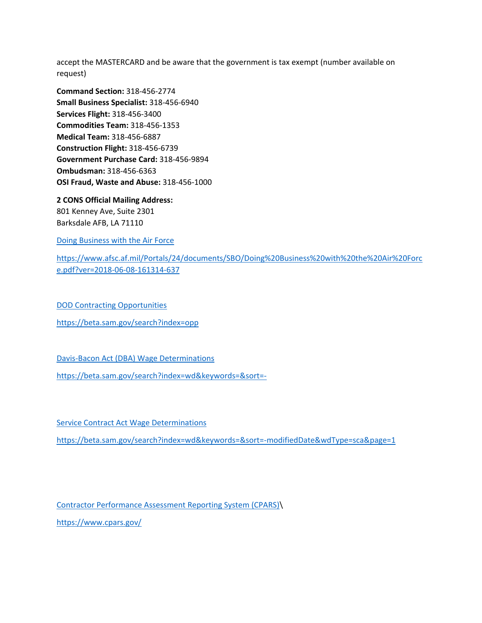accept the MASTERCARD and be aware that the government is tax exempt (number available on request)

**Command Section:** 318-456-2774 **Small Business Specialist:** 318-456-6940 **Services Flight:** 318-456-3400 **Commodities Team:** 318-456-1353 **Medical Team:** 318-456-6887 **Construction Flight:** 318-456-6739 **Government Purchase Card:** 318-456-9894 **Ombudsman:** 318-456-6363 **OSI Fraud, Waste and Abuse:** 318-456-1000

**2 CONS Official Mailing Address:** 801 Kenney Ave, Suite 2301 Barksdale AFB, LA 71110

[Doing Business with the Air Force](https://www.afsc.af.mil/Portals/24/documents/SBO/Doing%20Business%20with%20the%20Air%20Force.pdf?ver=2018-06-08-161314-637)

[https://www.afsc.af.mil/Portals/24/documents/SBO/Doing%20Business%20with%20the%20Air%20Forc](https://www.afsc.af.mil/Portals/24/documents/SBO/Doing%20Business%20with%20the%20Air%20Force.pdf?ver=2018-06-08-161314-637) [e.pdf?ver=2018-06-08-161314-637](https://www.afsc.af.mil/Portals/24/documents/SBO/Doing%20Business%20with%20the%20Air%20Force.pdf?ver=2018-06-08-161314-637)

[DOD Contracting Opportunities](https://beta.sam.gov/search?index=opp) <https://beta.sam.gov/search?index=opp>

[Davis-Bacon Act \(DBA\) Wage Determinations](https://beta.sam.gov/search?index=wd&keywords=&sort=-)

<https://beta.sam.gov/search?index=wd&keywords=&sort=->

[Service Contract Act Wage Determinations](https://beta.sam.gov/search?index=wd&keywords=&sort=-modifiedDate&wdType=sca&page=1)

<https://beta.sam.gov/search?index=wd&keywords=&sort=-modifiedDate&wdType=sca&page=1>

[Contractor Performance Assessment Reporting System \(CPARS\)\](https://www.cpars.gov/)

<https://www.cpars.gov/>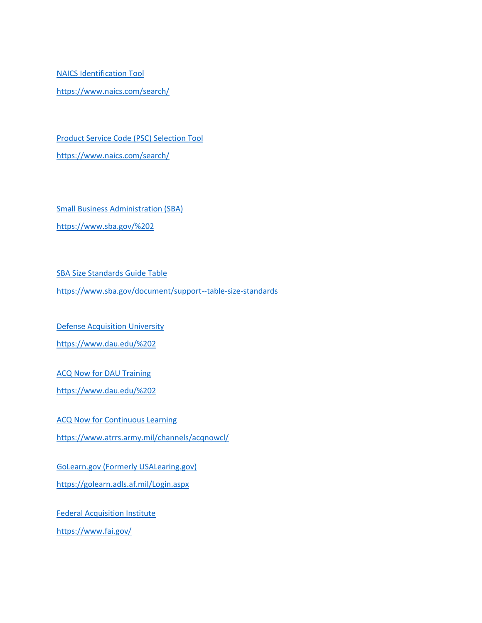[NAICS Identification Tool](https://www.naics.com/search/) <https://www.naics.com/search/>

[Product Service Code \(PSC\) Selection Tool](https://psctool.us/) <https://www.naics.com/search/>

[Small Business Administration \(SBA\)](https://www.sba.gov/%202) <https://www.sba.gov/%202>

[SBA Size Standards Guide Table](https://www.sba.gov/document/support--table-size-standards)

<https://www.sba.gov/document/support--table-size-standards>

[Defense Acquisition University](https://www.dau.edu/%202)

<https://www.dau.edu/%202>

ACQ Now [for DAU Training](https://www.dau.edu/%202)

<https://www.dau.edu/%202>

[ACQ Now for Continuous Learning](https://www.atrrs.army.mil/channels/acqnowcl/)

<https://www.atrrs.army.mil/channels/acqnowcl/>

[GoLearn.gov \(Formerly USALearing.gov\)](https://golearn.adls.af.mil/Login.aspx)

<https://golearn.adls.af.mil/Login.aspx>

[Federal Acquisition Institute](https://www.fai.gov/) <https://www.fai.gov/>